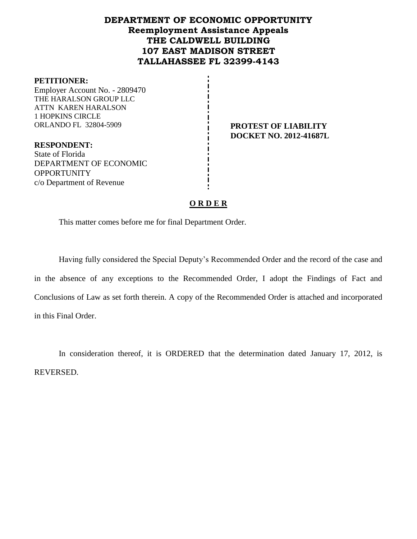# **DEPARTMENT OF ECONOMIC OPPORTUNITY Reemployment Assistance Appeals THE CALDWELL BUILDING 107 EAST MADISON STREET TALLAHASSEE FL 32399-4143**

#### **PETITIONER:**

Employer Account No. - 2809470 THE HARALSON GROUP LLC ATTN KAREN HARALSON 1 HOPKINS CIRCLE ORLANDO FL 32804-5909 **PROTEST OF LIABILITY** 

**DOCKET NO. 2012-41687L**

**RESPONDENT:** State of Florida DEPARTMENT OF ECONOMIC **OPPORTUNITY** c/o Department of Revenue

### **O R D E R**

This matter comes before me for final Department Order.

Having fully considered the Special Deputy's Recommended Order and the record of the case and in the absence of any exceptions to the Recommended Order, I adopt the Findings of Fact and Conclusions of Law as set forth therein. A copy of the Recommended Order is attached and incorporated in this Final Order.

In consideration thereof, it is ORDERED that the determination dated January 17, 2012, is REVERSED.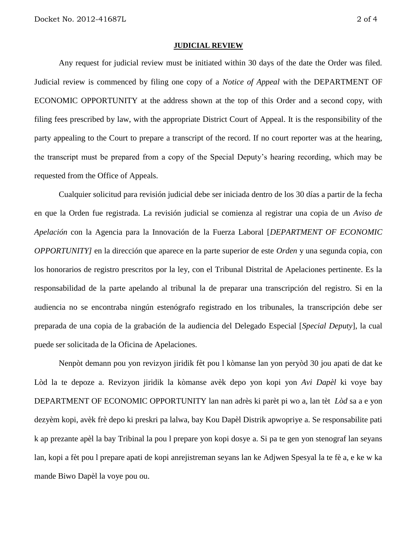#### **JUDICIAL REVIEW**

Any request for judicial review must be initiated within 30 days of the date the Order was filed. Judicial review is commenced by filing one copy of a *Notice of Appeal* with the DEPARTMENT OF ECONOMIC OPPORTUNITY at the address shown at the top of this Order and a second copy, with filing fees prescribed by law, with the appropriate District Court of Appeal. It is the responsibility of the party appealing to the Court to prepare a transcript of the record. If no court reporter was at the hearing, the transcript must be prepared from a copy of the Special Deputy's hearing recording, which may be requested from the Office of Appeals.

Cualquier solicitud para revisión judicial debe ser iniciada dentro de los 30 días a partir de la fecha en que la Orden fue registrada. La revisión judicial se comienza al registrar una copia de un *Aviso de Apelación* con la Agencia para la Innovación de la Fuerza Laboral [*DEPARTMENT OF ECONOMIC OPPORTUNITY]* en la dirección que aparece en la parte superior de este *Orden* y una segunda copia, con los honorarios de registro prescritos por la ley, con el Tribunal Distrital de Apelaciones pertinente. Es la responsabilidad de la parte apelando al tribunal la de preparar una transcripción del registro. Si en la audiencia no se encontraba ningún estenógrafo registrado en los tribunales, la transcripción debe ser preparada de una copia de la grabación de la audiencia del Delegado Especial [*Special Deputy*], la cual puede ser solicitada de la Oficina de Apelaciones.

Nenpòt demann pou yon revizyon jiridik fèt pou l kòmanse lan yon peryòd 30 jou apati de dat ke Lòd la te depoze a. Revizyon jiridik la kòmanse avèk depo yon kopi yon *Avi Dapèl* ki voye bay DEPARTMENT OF ECONOMIC OPPORTUNITY lan nan adrès ki parèt pi wo a, lan tèt *Lòd* sa a e yon dezyèm kopi, avèk frè depo ki preskri pa lalwa, bay Kou Dapèl Distrik apwopriye a. Se responsabilite pati k ap prezante apèl la bay Tribinal la pou l prepare yon kopi dosye a. Si pa te gen yon stenograf lan seyans lan, kopi a fèt pou l prepare apati de kopi anrejistreman seyans lan ke Adjwen Spesyal la te fè a, e ke w ka mande Biwo Dapèl la voye pou ou.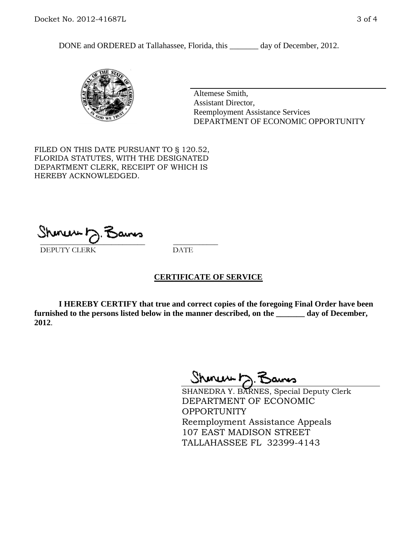DONE and ORDERED at Tallahassee, Florida, this \_\_\_\_\_\_\_ day of December, 2012.



Altemese Smith, Assistant Director, Reemployment Assistance Services DEPARTMENT OF ECONOMIC OPPORTUNITY

FILED ON THIS DATE PURSUANT TO § 120.52, FLORIDA STATUTES, WITH THE DESIGNATED DEPARTMENT CLERK, RECEIPT OF WHICH IS HEREBY ACKNOWLEDGED.

 $\overline{\phantom{a}}$  ,  $\overline{\phantom{a}}$  ,  $\overline{\phantom{a}}$  ,  $\overline{\phantom{a}}$  ,  $\overline{\phantom{a}}$  ,  $\overline{\phantom{a}}$  ,  $\overline{\phantom{a}}$  ,  $\overline{\phantom{a}}$ DEPUTY CLERK DATE

# **CERTIFICATE OF SERVICE**

**I HEREBY CERTIFY that true and correct copies of the foregoing Final Order have been furnished to the persons listed below in the manner described, on the \_\_\_\_\_\_\_ day of December, 2012**.

Shoner 5. Bans

SHANEDRA Y. BARNES, Special Deputy Clerk DEPARTMENT OF ECONOMIC OPPORTUNITY Reemployment Assistance Appeals 107 EAST MADISON STREET TALLAHASSEE FL 32399-4143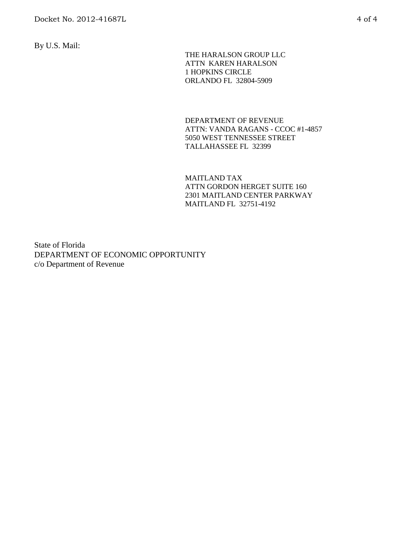By U.S. Mail:

 THE HARALSON GROUP LLC ATTN KAREN HARALSON 1 HOPKINS CIRCLE ORLANDO FL 32804-5909

DEPARTMENT OF REVENUE ATTN: VANDA RAGANS - CCOC #1-4857 5050 WEST TENNESSEE STREET TALLAHASSEE FL 32399

MAITLAND TAX ATTN GORDON HERGET SUITE 160 2301 MAITLAND CENTER PARKWAY MAITLAND FL 32751-4192

State of Florida DEPARTMENT OF ECONOMIC OPPORTUNITY c/o Department of Revenue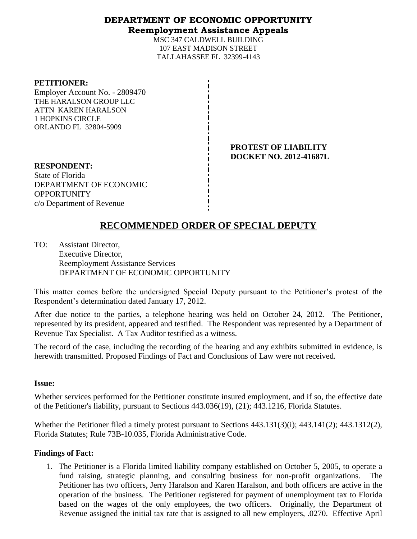# **DEPARTMENT OF ECONOMIC OPPORTUNITY Reemployment Assistance Appeals**

MSC 347 CALDWELL BUILDING 107 EAST MADISON STREET TALLAHASSEE FL 32399-4143

#### **PETITIONER:**

Employer Account No. - 2809470 THE HARALSON GROUP LLC ATTN KAREN HARALSON 1 HOPKINS CIRCLE ORLANDO FL 32804-5909

> **PROTEST OF LIABILITY DOCKET NO. 2012-41687L**

**RESPONDENT:** State of Florida DEPARTMENT OF ECONOMIC **OPPORTUNITY** c/o Department of Revenue

# **RECOMMENDED ORDER OF SPECIAL DEPUTY**

TO: Assistant Director, Executive Director, Reemployment Assistance Services DEPARTMENT OF ECONOMIC OPPORTUNITY

This matter comes before the undersigned Special Deputy pursuant to the Petitioner's protest of the Respondent's determination dated January 17, 2012.

After due notice to the parties, a telephone hearing was held on October 24, 2012. The Petitioner, represented by its president, appeared and testified. The Respondent was represented by a Department of Revenue Tax Specialist. A Tax Auditor testified as a witness.

The record of the case, including the recording of the hearing and any exhibits submitted in evidence, is herewith transmitted. Proposed Findings of Fact and Conclusions of Law were not received.

# **Issue:**

Whether services performed for the Petitioner constitute insured employment, and if so, the effective date of the Petitioner's liability, pursuant to Sections 443.036(19), (21); 443.1216, Florida Statutes.

Whether the Petitioner filed a timely protest pursuant to Sections 443.131(3)(i); 443.141(2); 443.1312(2), Florida Statutes; Rule 73B-10.035, Florida Administrative Code.

# **Findings of Fact:**

1. The Petitioner is a Florida limited liability company established on October 5, 2005, to operate a fund raising, strategic planning, and consulting business for non-profit organizations. The Petitioner has two officers, Jerry Haralson and Karen Haralson, and both officers are active in the operation of the business. The Petitioner registered for payment of unemployment tax to Florida based on the wages of the only employees, the two officers. Originally, the Department of Revenue assigned the initial tax rate that is assigned to all new employers, .0270. Effective April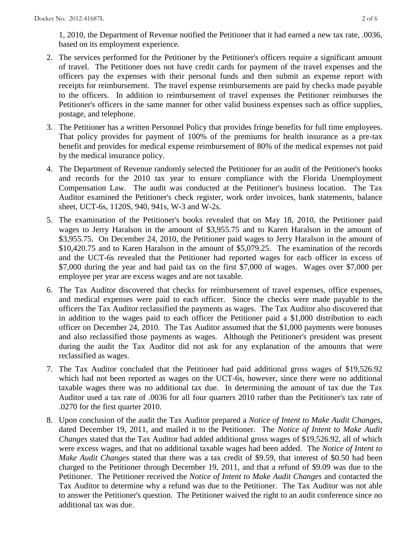1, 2010, the Department of Revenue notified the Petitioner that it had earned a new tax rate, .0036, based on its employment experience.

- 2. The services performed for the Petitioner by the Petitioner's officers require a significant amount of travel. The Petitioner does not have credit cards for payment of the travel expenses and the officers pay the expenses with their personal funds and then submit an expense report with receipts for reimbursement. The travel expense reimbursements are paid by checks made payable to the officers. In addition to reimbursement of travel expenses the Petitioner reimburses the Petitioner's officers in the same manner for other valid business expenses such as office supplies, postage, and telephone.
- 3. The Petitioner has a written Personnel Policy that provides fringe benefits for full time employees. That policy provides for payment of 100% of the premiums for health insurance as a pre-tax benefit and provides for medical expense reimbursement of 80% of the medical expenses not paid by the medical insurance policy.
- 4. The Department of Revenue randomly selected the Petitioner for an audit of the Petitioner's books and records for the 2010 tax year to ensure compliance with the Florida Unemployment Compensation Law. The audit was conducted at the Petitioner's business location. The Tax Auditor examined the Petitioner's check register, work order invoices, bank statements, balance sheet, UCT-6s, 1120S, 940, 941s, W-3 and W-2s.
- 5. The examination of the Petitioner's books revealed that on May 18, 2010, the Petitioner paid wages to Jerry Haralson in the amount of \$3,955.75 and to Karen Haralson in the amount of \$3,955.75. On December 24, 2010, the Petitioner paid wages to Jerry Haralson in the amount of \$10,420.75 and to Karen Haralson in the amount of \$5,079.25. The examination of the records and the UCT-6s revealed that the Petitioner had reported wages for each officer in excess of \$7,000 during the year and had paid tax on the first \$7,000 of wages. Wages over \$7,000 per employee per year are excess wages and are not taxable.
- 6. The Tax Auditor discovered that checks for reimbursement of travel expenses, office expenses, and medical expenses were paid to each officer. Since the checks were made payable to the officers the Tax Auditor reclassified the payments as wages. The Tax Auditor also discovered that in addition to the wages paid to each officer the Petitioner paid a \$1,000 distribution to each officer on December 24, 2010. The Tax Auditor assumed that the \$1,000 payments were bonuses and also reclassified those payments as wages. Although the Petitioner's president was present during the audit the Tax Auditor did not ask for any explanation of the amounts that were reclassified as wages.
- 7. The Tax Auditor concluded that the Petitioner had paid additional gross wages of \$19,526.92 which had not been reported as wages on the UCT-6s, however, since there were no additional taxable wages there was no additional tax due. In determining the amount of tax due the Tax Auditor used a tax rate of .0036 for all four quarters 2010 rather than the Petitioner's tax rate of .0270 for the first quarter 2010.
- 8. Upon conclusion of the audit the Tax Auditor prepared a *Notice of Intent to Make Audit Changes*, dated December 19, 2011, and mailed it to the Petitioner. The *Notice of Intent to Make Audit Changes* stated that the Tax Auditor had added additional gross wages of \$19,526.92, all of which were excess wages, and that no additional taxable wages had been added. The *Notice of Intent to Make Audit Changes* stated that there was a tax credit of \$9.59, that interest of \$0.50 had been charged to the Petitioner through December 19, 2011, and that a refund of \$9.09 was due to the Petitioner. The Petitioner received the *Notice of Intent to Make Audit Changes* and contacted the Tax Auditor to determine why a refund was due to the Petitioner. The Tax Auditor was not able to answer the Petitioner's question. The Petitioner waived the right to an audit conference since no additional tax was due.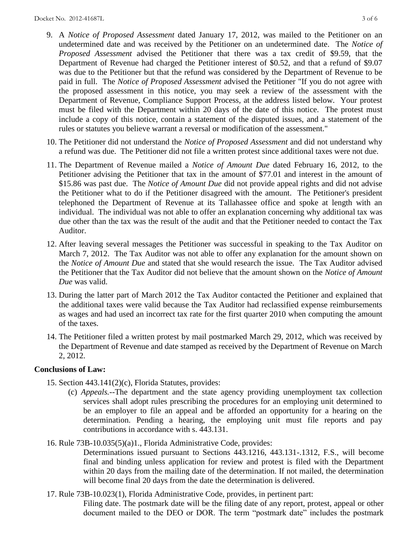- 9. A *Notice of Proposed Assessment* dated January 17, 2012, was mailed to the Petitioner on an undetermined date and was received by the Petitioner on an undetermined date. The *Notice of Proposed Assessment* advised the Petitioner that there was a tax credit of \$9.59, that the Department of Revenue had charged the Petitioner interest of \$0.52, and that a refund of \$9.07 was due to the Petitioner but that the refund was considered by the Department of Revenue to be paid in full. The *Notice of Proposed Assessment* advised the Petitioner "If you do not agree with the proposed assessment in this notice, you may seek a review of the assessment with the Department of Revenue, Compliance Support Process, at the address listed below. Your protest must be filed with the Department within 20 days of the date of this notice. The protest must include a copy of this notice, contain a statement of the disputed issues, and a statement of the rules or statutes you believe warrant a reversal or modification of the assessment."
- 10. The Petitioner did not understand the *Notice of Proposed Assessment* and did not understand why a refund was due. The Petitioner did not file a written protest since additional taxes were not due.
- 11. The Department of Revenue mailed a *Notice of Amount Due* dated February 16, 2012, to the Petitioner advising the Petitioner that tax in the amount of \$77.01 and interest in the amount of \$15.86 was past due. The *Notice of Amount Due* did not provide appeal rights and did not advise the Petitioner what to do if the Petitioner disagreed with the amount. The Petitioner's president telephoned the Department of Revenue at its Tallahassee office and spoke at length with an individual. The individual was not able to offer an explanation concerning why additional tax was due other than the tax was the result of the audit and that the Petitioner needed to contact the Tax Auditor.
- 12. After leaving several messages the Petitioner was successful in speaking to the Tax Auditor on March 7, 2012. The Tax Auditor was not able to offer any explanation for the amount shown on the *Notice of Amount Due* and stated that she would research the issue. The Tax Auditor advised the Petitioner that the Tax Auditor did not believe that the amount shown on the *Notice of Amount Due* was valid.
- 13. During the latter part of March 2012 the Tax Auditor contacted the Petitioner and explained that the additional taxes were valid because the Tax Auditor had reclassified expense reimbursements as wages and had used an incorrect tax rate for the first quarter 2010 when computing the amount of the taxes.
- 14. The Petitioner filed a written protest by mail postmarked March 29, 2012, which was received by the Department of Revenue and date stamped as received by the Department of Revenue on March 2, 2012.

# **Conclusions of Law:**

- 15. Section 443.141(2)(c), Florida Statutes, provides:
	- (c) *Appeals.*--The department and the state agency providing unemployment tax collection services shall adopt rules prescribing the procedures for an employing unit determined to be an employer to file an appeal and be afforded an opportunity for a hearing on the determination. Pending a hearing, the employing unit must file reports and pay contributions in accordance with s. 443.131.
- 16. Rule 73B-10.035(5)(a)1., Florida Administrative Code, provides:

Determinations issued pursuant to Sections 443.1216, 443.131-.1312, F.S., will become final and binding unless application for review and protest is filed with the Department within 20 days from the mailing date of the determination. If not mailed, the determination will become final 20 days from the date the determination is delivered.

17. Rule 73B-10.023(1), Florida Administrative Code, provides, in pertinent part:

Filing date. The postmark date will be the filing date of any report, protest, appeal or other document mailed to the DEO or DOR. The term "postmark date" includes the postmark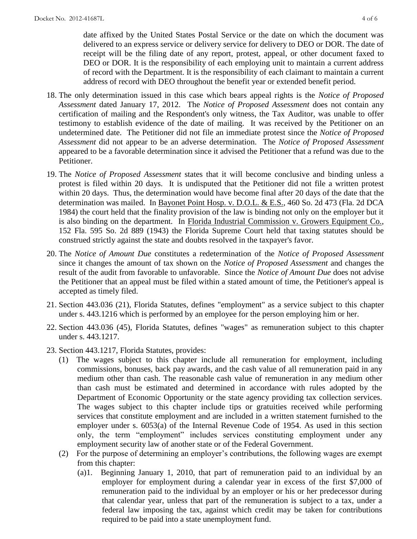date affixed by the United States Postal Service or the date on which the document was delivered to an express service or delivery service for delivery to DEO or DOR. The date of receipt will be the filing date of any report, protest, appeal, or other document faxed to DEO or DOR. It is the responsibility of each employing unit to maintain a current address of record with the Department. It is the responsibility of each claimant to maintain a current address of record with DEO throughout the benefit year or extended benefit period.

- 18. The only determination issued in this case which bears appeal rights is the *Notice of Proposed Assessment* dated January 17, 2012. The *Notice of Proposed Assessment* does not contain any certification of mailing and the Respondent's only witness, the Tax Auditor, was unable to offer testimony to establish evidence of the date of mailing. It was received by the Petitioner on an undetermined date. The Petitioner did not file an immediate protest since the *Notice of Proposed Assessment* did not appear to be an adverse determination. The *Notice of Proposed Assessment* appeared to be a favorable determination since it advised the Petitioner that a refund was due to the Petitioner.
- 19. The *Notice of Proposed Assessment* states that it will become conclusive and binding unless a protest is filed within 20 days. It is undisputed that the Petitioner did not file a written protest within 20 days. Thus, the determination would have become final after 20 days of the date that the determination was mailed. In Bayonet Point Hosp. v. D.O.L. & E.S., 460 So. 2d 473 (Fla. 2d DCA 1984) the court held that the finality provision of the law is binding not only on the employer but it is also binding on the department. In Florida Industrial Commission v. Growers Equipment Co., 152 Fla. 595 So. 2d 889 (1943) the Florida Supreme Court held that taxing statutes should be construed strictly against the state and doubts resolved in the taxpayer's favor.
- 20. The *Notice of Amount Due* constitutes a redetermination of the *Notice of Proposed Assessment* since it changes the amount of tax shown on the *Notice of Proposed Assessment* and changes the result of the audit from favorable to unfavorable. Since the *Notice of Amount Due* does not advise the Petitioner that an appeal must be filed within a stated amount of time, the Petitioner's appeal is accepted as timely filed.
- 21. Section 443.036 (21), Florida Statutes, defines "employment" as a service subject to this chapter under s. 443.1216 which is performed by an employee for the person employing him or her.
- 22. Section 443.036 (45), Florida Statutes, defines "wages" as remuneration subject to this chapter under s. 443.1217.
- 23. Section 443.1217, Florida Statutes, provides:
	- (1) The wages subject to this chapter include all remuneration for employment, including commissions, bonuses, back pay awards, and the cash value of all remuneration paid in any medium other than cash. The reasonable cash value of remuneration in any medium other than cash must be estimated and determined in accordance with rules adopted by the Department of Economic Opportunity or the state agency providing tax collection services. The wages subject to this chapter include tips or gratuities received while performing services that constitute employment and are included in a written statement furnished to the employer under s. 6053(a) of the Internal Revenue Code of 1954. As used in this section only, the term "employment" includes services constituting employment under any employment security law of another state or of the Federal Government.
	- (2) For the purpose of determining an employer's contributions, the following wages are exempt from this chapter:
		- (a)1. Beginning January 1, 2010, that part of remuneration paid to an individual by an employer for employment during a calendar year in excess of the first \$7,000 of remuneration paid to the individual by an employer or his or her predecessor during that calendar year, unless that part of the remuneration is subject to a tax, under a federal law imposing the tax, against which credit may be taken for contributions required to be paid into a state unemployment fund.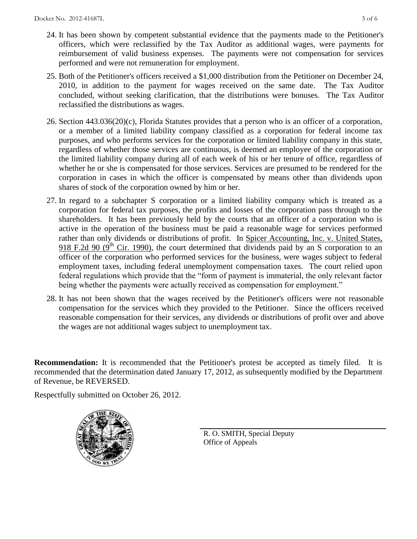- 24. It has been shown by competent substantial evidence that the payments made to the Petitioner's officers, which were reclassified by the Tax Auditor as additional wages, were payments for reimbursement of valid business expenses. The payments were not compensation for services performed and were not remuneration for employment.
- 25. Both of the Petitioner's officers received a \$1,000 distribution from the Petitioner on December 24, 2010, in addition to the payment for wages received on the same date. The Tax Auditor concluded, without seeking clarification, that the distributions were bonuses. The Tax Auditor reclassified the distributions as wages.
- 26. Section 443.036(20)(c), Florida Statutes provides that a person who is an officer of a corporation, or a member of a limited liability company classified as a corporation for federal income tax purposes, and who performs services for the corporation or limited liability company in this state, regardless of whether those services are continuous, is deemed an employee of the corporation or the limited liability company during all of each week of his or her tenure of office, regardless of whether he or she is compensated for those services. Services are presumed to be rendered for the corporation in cases in which the officer is compensated by means other than dividends upon shares of stock of the corporation owned by him or her.
- 27. In regard to a subchapter S corporation or a limited liability company which is treated as a corporation for federal tax purposes, the profits and losses of the corporation pass through to the shareholders. It has been previously held by the courts that an officer of a corporation who is active in the operation of the business must be paid a reasonable wage for services performed rather than only dividends or distributions of profit. In Spicer Accounting, Inc. v. United States, 918 F.2d 90 ( $9<sup>th</sup>$  Cir. 1990), the court determined that dividends paid by an S corporation to an officer of the corporation who performed services for the business, were wages subject to federal employment taxes, including federal unemployment compensation taxes. The court relied upon federal regulations which provide that the "form of payment is immaterial, the only relevant factor being whether the payments were actually received as compensation for employment."
- 28. It has not been shown that the wages received by the Petitioner's officers were not reasonable compensation for the services which they provided to the Petitioner. Since the officers received reasonable compensation for their services, any dividends or distributions of profit over and above the wages are not additional wages subject to unemployment tax.

**Recommendation:** It is recommended that the Petitioner's protest be accepted as timely filed. It is recommended that the determination dated January 17, 2012, as subsequently modified by the Department of Revenue, be REVERSED.

Respectfully submitted on October 26, 2012.



R. O. SMITH, Special Deputy Office of Appeals